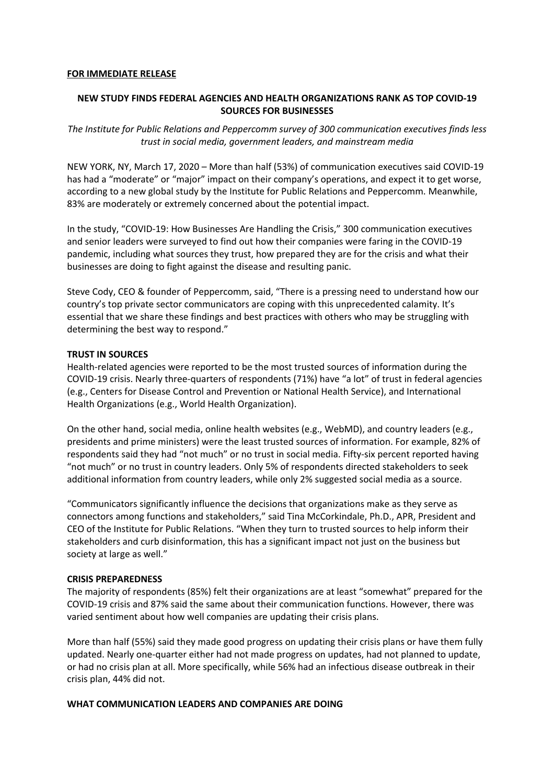### **FOR IMMEDIATE RELEASE**

# **NEW STUDY FINDS FEDERAL AGENCIES AND HEALTH ORGANIZATIONS RANK AS TOP COVID-19 SOURCES FOR BUSINESSES**

*The Institute for Public Relations and Peppercomm survey of 300 communication executives finds less trust in social media, government leaders, and mainstream media* 

NEW YORK, NY, March 17, 2020 – More than half (53%) of communication executives said COVID-19 has had a "moderate" or "major" impact on their company's operations, and expect it to get worse, according to a new global study by the Institute for Public Relations and Peppercomm. Meanwhile, 83% are moderately or extremely concerned about the potential impact.

In the study, "COVID-19: How Businesses Are Handling the Crisis," 300 communication executives and senior leaders were surveyed to find out how their companies were faring in the COVID-19 pandemic, including what sources they trust, how prepared they are for the crisis and what their businesses are doing to fight against the disease and resulting panic.

Steve Cody, CEO & founder of Peppercomm, said, "There is a pressing need to understand how our country's top private sector communicators are coping with this unprecedented calamity. It's essential that we share these findings and best practices with others who may be struggling with determining the best way to respond."

## **TRUST IN SOURCES**

Health-related agencies were reported to be the most trusted sources of information during the COVID-19 crisis. Nearly three-quarters of respondents (71%) have "a lot" of trust in federal agencies (e.g., Centers for Disease Control and Prevention or National Health Service), and International Health Organizations (e.g., World Health Organization).

On the other hand, social media, online health websites (e.g., WebMD), and country leaders (e.g., presidents and prime ministers) were the least trusted sources of information. For example, 82% of respondents said they had "not much" or no trust in social media. Fifty-six percent reported having "not much" or no trust in country leaders. Only 5% of respondents directed stakeholders to seek additional information from country leaders, while only 2% suggested social media as a source.

"Communicators significantly influence the decisions that organizations make as they serve as connectors among functions and stakeholders," said Tina McCorkindale, Ph.D., APR, President and CEO of the Institute for Public Relations. "When they turn to trusted sources to help inform their stakeholders and curb disinformation, this has a significant impact not just on the business but society at large as well."

### **CRISIS PREPAREDNESS**

The majority of respondents (85%) felt their organizations are at least "somewhat" prepared for the COVID-19 crisis and 87% said the same about their communication functions. However, there was varied sentiment about how well companies are updating their crisis plans.

More than half (55%) said they made good progress on updating their crisis plans or have them fully updated. Nearly one-quarter either had not made progress on updates, had not planned to update, or had no crisis plan at all. More specifically, while 56% had an infectious disease outbreak in their crisis plan, 44% did not.

## **WHAT COMMUNICATION LEADERS AND COMPANIES ARE DOING**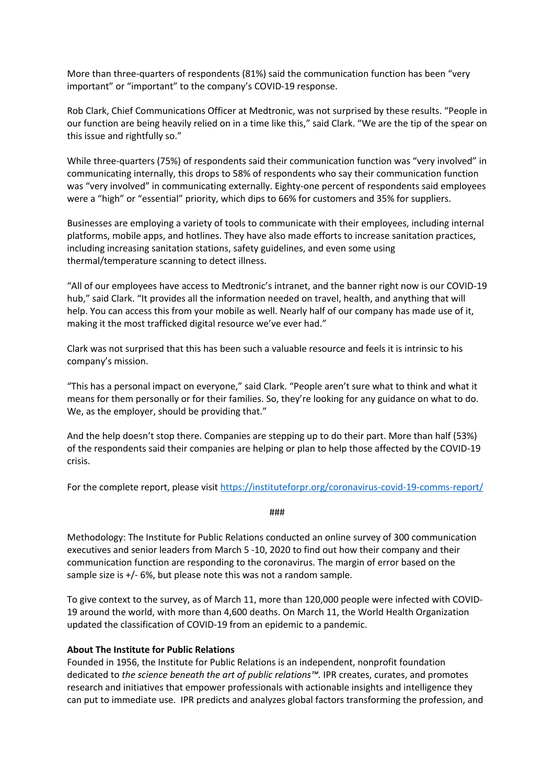More than three-quarters of respondents (81%) said the communication function has been "very important" or "important" to the company's COVID-19 response.

Rob Clark, Chief Communications Officer at Medtronic, was not surprised by these results. "People in our function are being heavily relied on in a time like this," said Clark. "We are the tip of the spear on this issue and rightfully so."

While three-quarters (75%) of respondents said their communication function was "very involved" in communicating internally, this drops to 58% of respondents who say their communication function was "very involved" in communicating externally. Eighty-one percent of respondents said employees were a "high" or "essential" priority, which dips to 66% for customers and 35% for suppliers.

Businesses are employing a variety of tools to communicate with their employees, including internal platforms, mobile apps, and hotlines. They have also made efforts to increase sanitation practices, including increasing sanitation stations, safety guidelines, and even some using thermal/temperature scanning to detect illness.

"All of our employees have access to Medtronic's intranet, and the banner right now is our COVID-19 hub," said Clark. "It provides all the information needed on travel, health, and anything that will help. You can access this from your mobile as well. Nearly half of our company has made use of it, making it the most trafficked digital resource we've ever had."

Clark was not surprised that this has been such a valuable resource and feels it is intrinsic to his company's mission.

"This has a personal impact on everyone," said Clark. "People aren't sure what to think and what it means for them personally or for their families. So, they're looking for any guidance on what to do. We, as the employer, should be providing that."

And the help doesn't stop there. Companies are stepping up to do their part. More than half (53%) of the respondents said their companies are helping or plan to help those affected by the COVID-19 crisis.

For the complete report, please visit https://instituteforpr.org/coronavirus-covid-19-comms-report/

###

Methodology: The Institute for Public Relations conducted an online survey of 300 communication executives and senior leaders from March 5 -10, 2020 to find out how their company and their communication function are responding to the coronavirus. The margin of error based on the sample size is +/- 6%, but please note this was not a random sample.

To give context to the survey, as of March 11, more than 120,000 people were infected with COVID-19 around the world, with more than 4,600 deaths. On March 11, the World Health Organization updated the classification of COVID-19 from an epidemic to a pandemic.

# **About The Institute for Public Relations**

Founded in 1956, the Institute for Public Relations is an independent, nonprofit foundation dedicated to *the science beneath the art of public relations™.* IPR creates, curates, and promotes research and initiatives that empower professionals with actionable insights and intelligence they can put to immediate use. IPR predicts and analyzes global factors transforming the profession, and